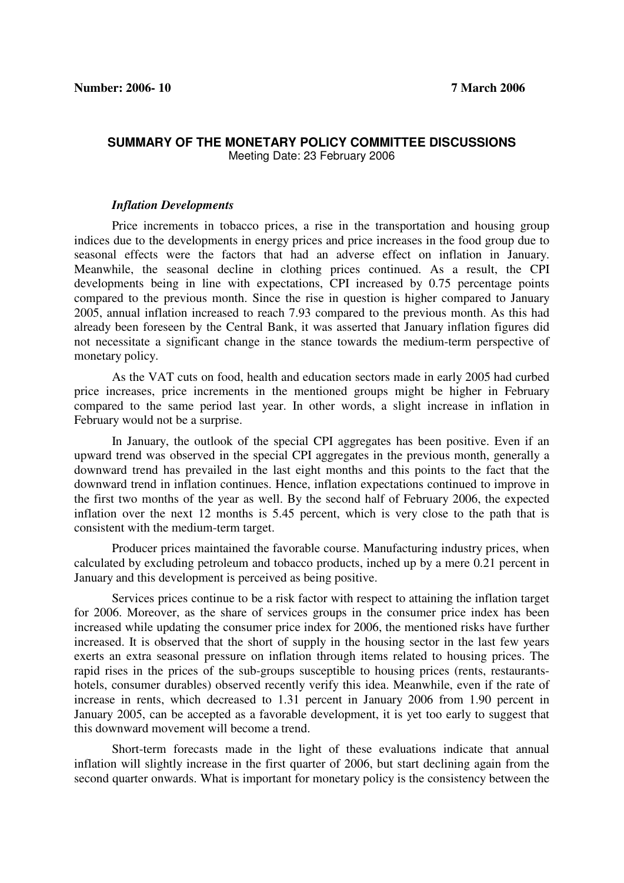## **SUMMARY OF THE MONETARY POLICY COMMITTEE DISCUSSIONS**  Meeting Date: 23 February 2006

## *Inflation Developments*

Price increments in tobacco prices, a rise in the transportation and housing group indices due to the developments in energy prices and price increases in the food group due to seasonal effects were the factors that had an adverse effect on inflation in January. Meanwhile, the seasonal decline in clothing prices continued. As a result, the CPI developments being in line with expectations, CPI increased by 0.75 percentage points compared to the previous month. Since the rise in question is higher compared to January 2005, annual inflation increased to reach 7.93 compared to the previous month. As this had already been foreseen by the Central Bank, it was asserted that January inflation figures did not necessitate a significant change in the stance towards the medium-term perspective of monetary policy.

As the VAT cuts on food, health and education sectors made in early 2005 had curbed price increases, price increments in the mentioned groups might be higher in February compared to the same period last year. In other words, a slight increase in inflation in February would not be a surprise.

In January, the outlook of the special CPI aggregates has been positive. Even if an upward trend was observed in the special CPI aggregates in the previous month, generally a downward trend has prevailed in the last eight months and this points to the fact that the downward trend in inflation continues. Hence, inflation expectations continued to improve in the first two months of the year as well. By the second half of February 2006, the expected inflation over the next 12 months is 5.45 percent, which is very close to the path that is consistent with the medium-term target.

Producer prices maintained the favorable course. Manufacturing industry prices, when calculated by excluding petroleum and tobacco products, inched up by a mere 0.21 percent in January and this development is perceived as being positive.

Services prices continue to be a risk factor with respect to attaining the inflation target for 2006. Moreover, as the share of services groups in the consumer price index has been increased while updating the consumer price index for 2006, the mentioned risks have further increased. It is observed that the short of supply in the housing sector in the last few years exerts an extra seasonal pressure on inflation through items related to housing prices. The rapid rises in the prices of the sub-groups susceptible to housing prices (rents, restaurantshotels, consumer durables) observed recently verify this idea. Meanwhile, even if the rate of increase in rents, which decreased to 1.31 percent in January 2006 from 1.90 percent in January 2005, can be accepted as a favorable development, it is yet too early to suggest that this downward movement will become a trend.

Short-term forecasts made in the light of these evaluations indicate that annual inflation will slightly increase in the first quarter of 2006, but start declining again from the second quarter onwards. What is important for monetary policy is the consistency between the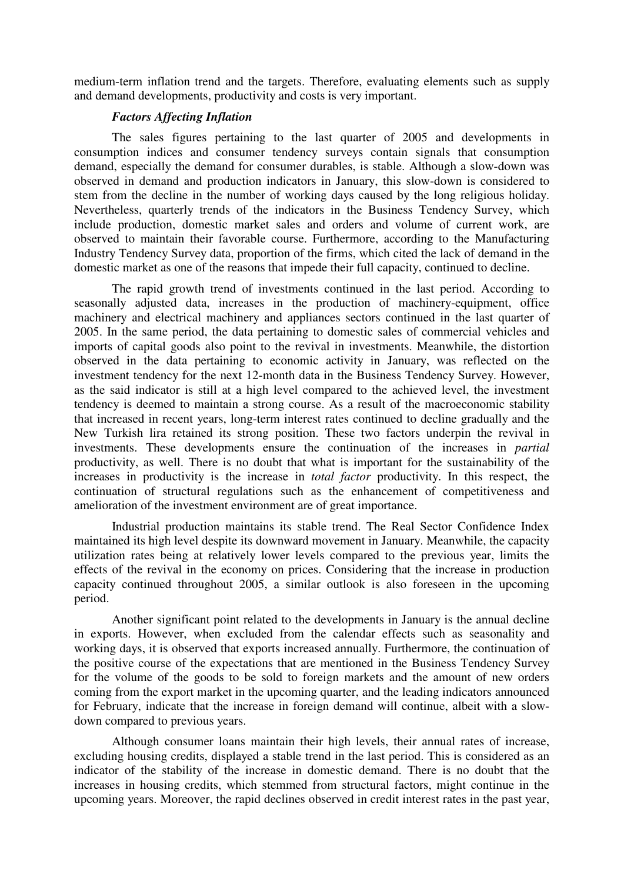medium-term inflation trend and the targets. Therefore, evaluating elements such as supply and demand developments, productivity and costs is very important.

## *Factors Affecting Inflation*

The sales figures pertaining to the last quarter of 2005 and developments in consumption indices and consumer tendency surveys contain signals that consumption demand, especially the demand for consumer durables, is stable. Although a slow-down was observed in demand and production indicators in January, this slow-down is considered to stem from the decline in the number of working days caused by the long religious holiday. Nevertheless, quarterly trends of the indicators in the Business Tendency Survey, which include production, domestic market sales and orders and volume of current work, are observed to maintain their favorable course. Furthermore, according to the Manufacturing Industry Tendency Survey data, proportion of the firms, which cited the lack of demand in the domestic market as one of the reasons that impede their full capacity, continued to decline.

The rapid growth trend of investments continued in the last period. According to seasonally adjusted data, increases in the production of machinery-equipment, office machinery and electrical machinery and appliances sectors continued in the last quarter of 2005. In the same period, the data pertaining to domestic sales of commercial vehicles and imports of capital goods also point to the revival in investments. Meanwhile, the distortion observed in the data pertaining to economic activity in January, was reflected on the investment tendency for the next 12-month data in the Business Tendency Survey. However, as the said indicator is still at a high level compared to the achieved level, the investment tendency is deemed to maintain a strong course. As a result of the macroeconomic stability that increased in recent years, long-term interest rates continued to decline gradually and the New Turkish lira retained its strong position. These two factors underpin the revival in investments. These developments ensure the continuation of the increases in *partial* productivity, as well. There is no doubt that what is important for the sustainability of the increases in productivity is the increase in *total factor* productivity. In this respect, the continuation of structural regulations such as the enhancement of competitiveness and amelioration of the investment environment are of great importance.

Industrial production maintains its stable trend. The Real Sector Confidence Index maintained its high level despite its downward movement in January. Meanwhile, the capacity utilization rates being at relatively lower levels compared to the previous year, limits the effects of the revival in the economy on prices. Considering that the increase in production capacity continued throughout 2005, a similar outlook is also foreseen in the upcoming period.

Another significant point related to the developments in January is the annual decline in exports. However, when excluded from the calendar effects such as seasonality and working days, it is observed that exports increased annually. Furthermore, the continuation of the positive course of the expectations that are mentioned in the Business Tendency Survey for the volume of the goods to be sold to foreign markets and the amount of new orders coming from the export market in the upcoming quarter, and the leading indicators announced for February, indicate that the increase in foreign demand will continue, albeit with a slowdown compared to previous years.

Although consumer loans maintain their high levels, their annual rates of increase, excluding housing credits, displayed a stable trend in the last period. This is considered as an indicator of the stability of the increase in domestic demand. There is no doubt that the increases in housing credits, which stemmed from structural factors, might continue in the upcoming years. Moreover, the rapid declines observed in credit interest rates in the past year,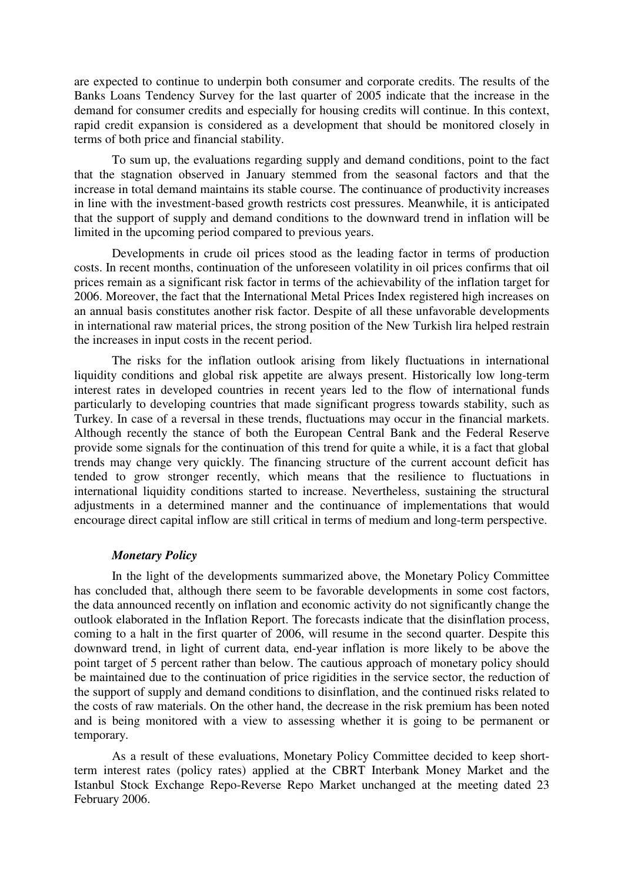are expected to continue to underpin both consumer and corporate credits. The results of the Banks Loans Tendency Survey for the last quarter of 2005 indicate that the increase in the demand for consumer credits and especially for housing credits will continue. In this context, rapid credit expansion is considered as a development that should be monitored closely in terms of both price and financial stability.

To sum up, the evaluations regarding supply and demand conditions, point to the fact that the stagnation observed in January stemmed from the seasonal factors and that the increase in total demand maintains its stable course. The continuance of productivity increases in line with the investment-based growth restricts cost pressures. Meanwhile, it is anticipated that the support of supply and demand conditions to the downward trend in inflation will be limited in the upcoming period compared to previous years.

Developments in crude oil prices stood as the leading factor in terms of production costs. In recent months, continuation of the unforeseen volatility in oil prices confirms that oil prices remain as a significant risk factor in terms of the achievability of the inflation target for 2006. Moreover, the fact that the International Metal Prices Index registered high increases on an annual basis constitutes another risk factor. Despite of all these unfavorable developments in international raw material prices, the strong position of the New Turkish lira helped restrain the increases in input costs in the recent period.

The risks for the inflation outlook arising from likely fluctuations in international liquidity conditions and global risk appetite are always present. Historically low long-term interest rates in developed countries in recent years led to the flow of international funds particularly to developing countries that made significant progress towards stability, such as Turkey. In case of a reversal in these trends, fluctuations may occur in the financial markets. Although recently the stance of both the European Central Bank and the Federal Reserve provide some signals for the continuation of this trend for quite a while, it is a fact that global trends may change very quickly. The financing structure of the current account deficit has tended to grow stronger recently, which means that the resilience to fluctuations in international liquidity conditions started to increase. Nevertheless, sustaining the structural adjustments in a determined manner and the continuance of implementations that would encourage direct capital inflow are still critical in terms of medium and long-term perspective.

## *Monetary Policy*

In the light of the developments summarized above, the Monetary Policy Committee has concluded that, although there seem to be favorable developments in some cost factors, the data announced recently on inflation and economic activity do not significantly change the outlook elaborated in the Inflation Report. The forecasts indicate that the disinflation process, coming to a halt in the first quarter of 2006, will resume in the second quarter. Despite this downward trend, in light of current data, end-year inflation is more likely to be above the point target of 5 percent rather than below. The cautious approach of monetary policy should be maintained due to the continuation of price rigidities in the service sector, the reduction of the support of supply and demand conditions to disinflation, and the continued risks related to the costs of raw materials. On the other hand, the decrease in the risk premium has been noted and is being monitored with a view to assessing whether it is going to be permanent or temporary.

As a result of these evaluations, Monetary Policy Committee decided to keep shortterm interest rates (policy rates) applied at the CBRT Interbank Money Market and the Istanbul Stock Exchange Repo-Reverse Repo Market unchanged at the meeting dated 23 February 2006.